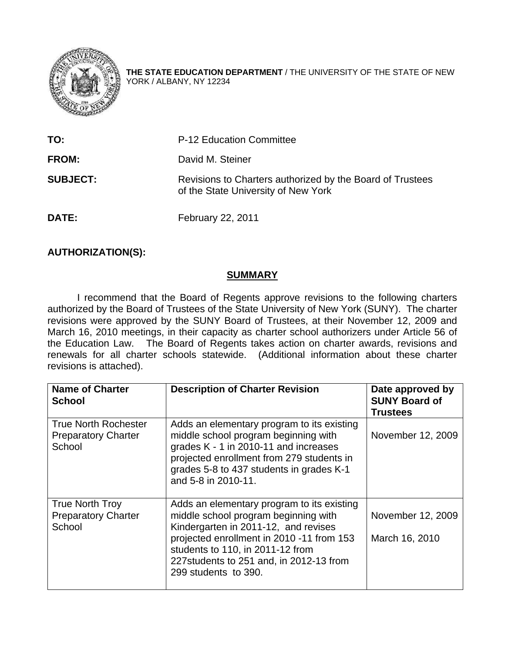

**THE STATE EDUCATION DEPARTMENT** / THE UNIVERSITY OF THE STATE OF NEW YORK / ALBANY, NY 12234

| TO:             | <b>P-12 Education Committee</b>                                                                  |  |
|-----------------|--------------------------------------------------------------------------------------------------|--|
| <b>FROM:</b>    | David M. Steiner                                                                                 |  |
| <b>SUBJECT:</b> | Revisions to Charters authorized by the Board of Trustees<br>of the State University of New York |  |
| DATE:           | February 22, 2011                                                                                |  |

# **AUTHORIZATION(S):**

### **SUMMARY**

 I recommend that the Board of Regents approve revisions to the following charters authorized by the Board of Trustees of the State University of New York (SUNY). The charter revisions were approved by the SUNY Board of Trustees, at their November 12, 2009 and March 16, 2010 meetings, in their capacity as charter school authorizers under Article 56 of the Education Law. The Board of Regents takes action on charter awards, revisions and renewals for all charter schools statewide. (Additional information about these charter revisions is attached).

| <b>Name of Charter</b><br><b>School</b>                             | <b>Description of Charter Revision</b>                                                                                                                                                                                                                                          | Date approved by<br><b>SUNY Board of</b><br><b>Trustees</b> |
|---------------------------------------------------------------------|---------------------------------------------------------------------------------------------------------------------------------------------------------------------------------------------------------------------------------------------------------------------------------|-------------------------------------------------------------|
| <b>True North Rochester</b><br><b>Preparatory Charter</b><br>School | Adds an elementary program to its existing<br>middle school program beginning with<br>grades K - 1 in 2010-11 and increases<br>projected enrollment from 279 students in<br>grades 5-8 to 437 students in grades K-1<br>and 5-8 in 2010-11.                                     | November 12, 2009                                           |
| <b>True North Troy</b><br><b>Preparatory Charter</b><br>School      | Adds an elementary program to its existing<br>middle school program beginning with<br>Kindergarten in 2011-12, and revises<br>projected enrollment in 2010 -11 from 153<br>students to 110, in 2011-12 from<br>227 students to 251 and, in 2012-13 from<br>299 students to 390. | November 12, 2009<br>March 16, 2010                         |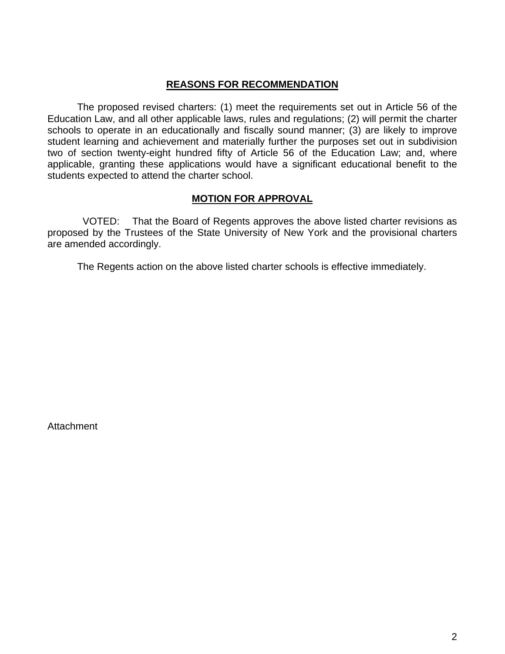### **REASONS FOR RECOMMENDATION**

The proposed revised charters: (1) meet the requirements set out in Article 56 of the Education Law, and all other applicable laws, rules and regulations; (2) will permit the charter schools to operate in an educationally and fiscally sound manner; (3) are likely to improve student learning and achievement and materially further the purposes set out in subdivision two of section twenty-eight hundred fifty of Article 56 of the Education Law; and, where applicable, granting these applications would have a significant educational benefit to the students expected to attend the charter school.

# **MOTION FOR APPROVAL**

 VOTED: That the Board of Regents approves the above listed charter revisions as proposed by the Trustees of the State University of New York and the provisional charters are amended accordingly.

The Regents action on the above listed charter schools is effective immediately.

**Attachment**